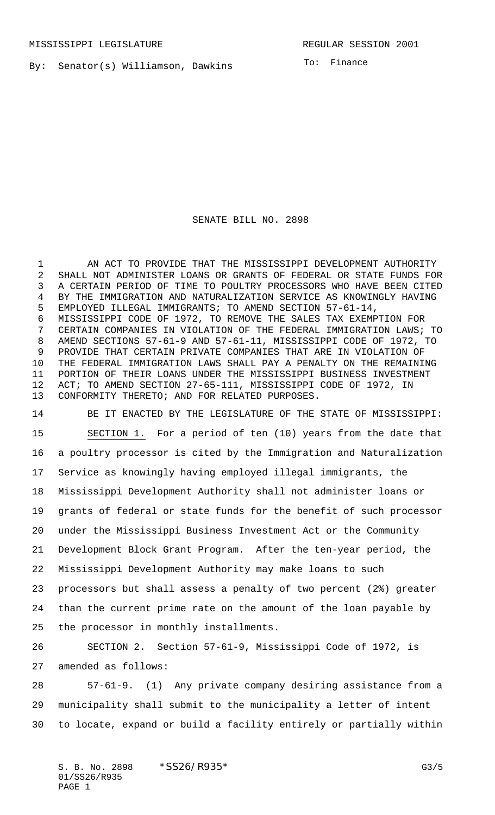By: Senator(s) Williamson, Dawkins

To: Finance

## SENATE BILL NO. 2898

1 AN ACT TO PROVIDE THAT THE MISSISSIPPI DEVELOPMENT AUTHORITY SHALL NOT ADMINISTER LOANS OR GRANTS OF FEDERAL OR STATE FUNDS FOR A CERTAIN PERIOD OF TIME TO POULTRY PROCESSORS WHO HAVE BEEN CITED BY THE IMMIGRATION AND NATURALIZATION SERVICE AS KNOWINGLY HAVING EMPLOYED ILLEGAL IMMIGRANTS; TO AMEND SECTION 57-61-14, MISSISSIPPI CODE OF 1972, TO REMOVE THE SALES TAX EXEMPTION FOR CERTAIN COMPANIES IN VIOLATION OF THE FEDERAL IMMIGRATION LAWS; TO AMEND SECTIONS 57-61-9 AND 57-61-11, MISSISSIPPI CODE OF 1972, TO PROVIDE THAT CERTAIN PRIVATE COMPANIES THAT ARE IN VIOLATION OF THE FEDERAL IMMIGRATION LAWS SHALL PAY A PENALTY ON THE REMAINING PORTION OF THEIR LOANS UNDER THE MISSISSIPPI BUSINESS INVESTMENT ACT; TO AMEND SECTION 27-65-111, MISSISSIPPI CODE OF 1972, IN CONFORMITY THERETO; AND FOR RELATED PURPOSES.

 BE IT ENACTED BY THE LEGISLATURE OF THE STATE OF MISSISSIPPI: SECTION 1. For a period of ten (10) years from the date that a poultry processor is cited by the Immigration and Naturalization Service as knowingly having employed illegal immigrants, the Mississippi Development Authority shall not administer loans or grants of federal or state funds for the benefit of such processor under the Mississippi Business Investment Act or the Community Development Block Grant Program. After the ten-year period, the Mississippi Development Authority may make loans to such processors but shall assess a penalty of two percent (2%) greater than the current prime rate on the amount of the loan payable by the processor in monthly installments.

 SECTION 2. Section 57-61-9, Mississippi Code of 1972, is amended as follows:

 57-61-9. (1) Any private company desiring assistance from a municipality shall submit to the municipality a letter of intent to locate, expand or build a facility entirely or partially within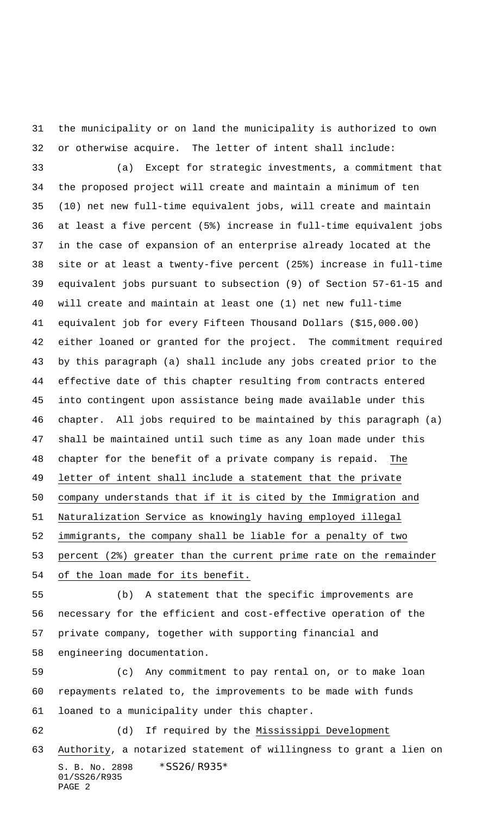the municipality or on land the municipality is authorized to own or otherwise acquire. The letter of intent shall include: (a) Except for strategic investments, a commitment that the proposed project will create and maintain a minimum of ten (10) net new full-time equivalent jobs, will create and maintain at least a five percent (5%) increase in full-time equivalent jobs in the case of expansion of an enterprise already located at the site or at least a twenty-five percent (25%) increase in full-time equivalent jobs pursuant to subsection (9) of Section 57-61-15 and will create and maintain at least one (1) net new full-time equivalent job for every Fifteen Thousand Dollars (\$15,000.00) either loaned or granted for the project. The commitment required by this paragraph (a) shall include any jobs created prior to the effective date of this chapter resulting from contracts entered into contingent upon assistance being made available under this chapter. All jobs required to be maintained by this paragraph (a) shall be maintained until such time as any loan made under this chapter for the benefit of a private company is repaid. The letter of intent shall include a statement that the private company understands that if it is cited by the Immigration and Naturalization Service as knowingly having employed illegal immigrants, the company shall be liable for a penalty of two percent (2%) greater than the current prime rate on the remainder of the loan made for its benefit.

 (b) A statement that the specific improvements are necessary for the efficient and cost-effective operation of the private company, together with supporting financial and engineering documentation.

S. B. No. 2898 \*SS26/R935\* 01/SS26/R935 (c) Any commitment to pay rental on, or to make loan repayments related to, the improvements to be made with funds loaned to a municipality under this chapter. (d) If required by the Mississippi Development Authority, a notarized statement of willingness to grant a lien on

```
PAGE 2
```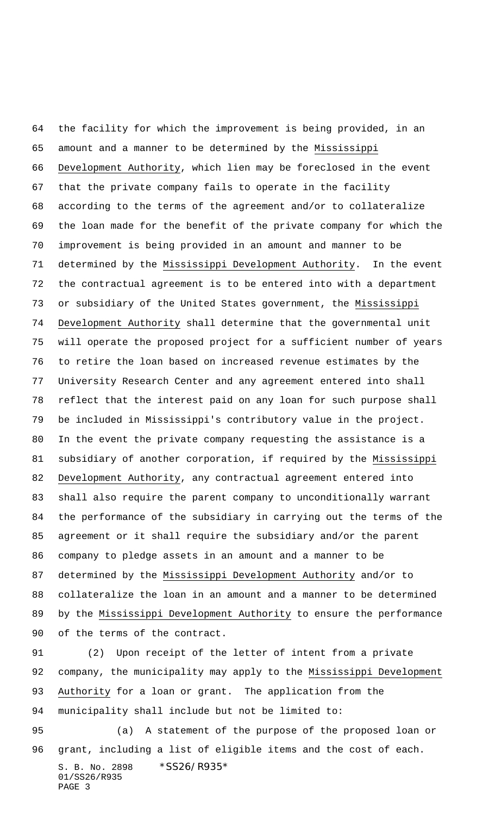the facility for which the improvement is being provided, in an amount and a manner to be determined by the Mississippi Development Authority, which lien may be foreclosed in the event that the private company fails to operate in the facility according to the terms of the agreement and/or to collateralize the loan made for the benefit of the private company for which the improvement is being provided in an amount and manner to be determined by the Mississippi Development Authority. In the event the contractual agreement is to be entered into with a department or subsidiary of the United States government, the Mississippi Development Authority shall determine that the governmental unit will operate the proposed project for a sufficient number of years to retire the loan based on increased revenue estimates by the University Research Center and any agreement entered into shall reflect that the interest paid on any loan for such purpose shall be included in Mississippi's contributory value in the project. In the event the private company requesting the assistance is a subsidiary of another corporation, if required by the Mississippi Development Authority, any contractual agreement entered into shall also require the parent company to unconditionally warrant the performance of the subsidiary in carrying out the terms of the agreement or it shall require the subsidiary and/or the parent company to pledge assets in an amount and a manner to be determined by the Mississippi Development Authority and/or to collateralize the loan in an amount and a manner to be determined by the Mississippi Development Authority to ensure the performance of the terms of the contract.

 (2) Upon receipt of the letter of intent from a private company, the municipality may apply to the Mississippi Development Authority for a loan or grant. The application from the municipality shall include but not be limited to:

S. B. No. 2898 \*SS26/R935\* 01/SS26/R935 PAGE 3 (a) A statement of the purpose of the proposed loan or grant, including a list of eligible items and the cost of each.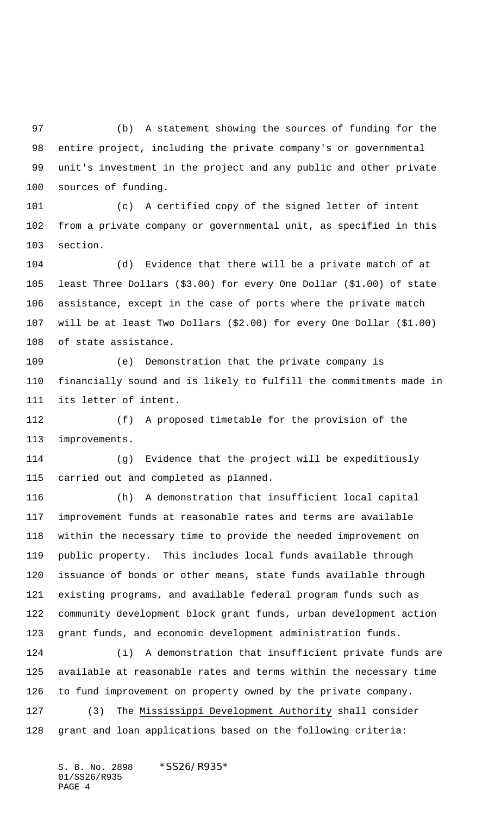(b) A statement showing the sources of funding for the entire project, including the private company's or governmental unit's investment in the project and any public and other private sources of funding.

 (c) A certified copy of the signed letter of intent from a private company or governmental unit, as specified in this section.

 (d) Evidence that there will be a private match of at least Three Dollars (\$3.00) for every One Dollar (\$1.00) of state assistance, except in the case of ports where the private match will be at least Two Dollars (\$2.00) for every One Dollar (\$1.00) of state assistance.

 (e) Demonstration that the private company is financially sound and is likely to fulfill the commitments made in its letter of intent.

 (f) A proposed timetable for the provision of the improvements.

 (g) Evidence that the project will be expeditiously carried out and completed as planned.

 (h) A demonstration that insufficient local capital improvement funds at reasonable rates and terms are available within the necessary time to provide the needed improvement on public property. This includes local funds available through issuance of bonds or other means, state funds available through existing programs, and available federal program funds such as community development block grant funds, urban development action grant funds, and economic development administration funds.

 (i) A demonstration that insufficient private funds are available at reasonable rates and terms within the necessary time to fund improvement on property owned by the private company. (3) The Mississippi Development Authority shall consider grant and loan applications based on the following criteria: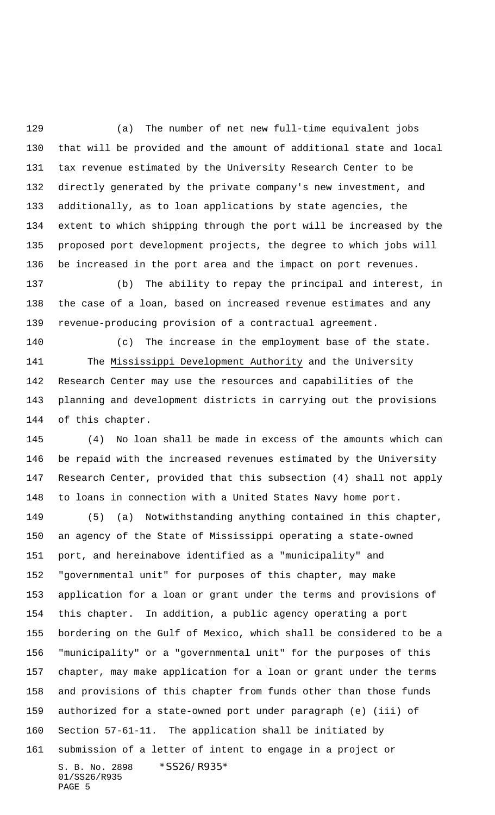(a) The number of net new full-time equivalent jobs that will be provided and the amount of additional state and local tax revenue estimated by the University Research Center to be directly generated by the private company's new investment, and additionally, as to loan applications by state agencies, the extent to which shipping through the port will be increased by the proposed port development projects, the degree to which jobs will be increased in the port area and the impact on port revenues.

 (b) The ability to repay the principal and interest, in the case of a loan, based on increased revenue estimates and any revenue-producing provision of a contractual agreement.

 (c) The increase in the employment base of the state. The Mississippi Development Authority and the University Research Center may use the resources and capabilities of the planning and development districts in carrying out the provisions of this chapter.

 (4) No loan shall be made in excess of the amounts which can be repaid with the increased revenues estimated by the University Research Center, provided that this subsection (4) shall not apply to loans in connection with a United States Navy home port.

S. B. No. 2898 \* SS26/R935\* 01/SS26/R935 PAGE 5 (5) (a) Notwithstanding anything contained in this chapter, an agency of the State of Mississippi operating a state-owned port, and hereinabove identified as a "municipality" and "governmental unit" for purposes of this chapter, may make application for a loan or grant under the terms and provisions of this chapter. In addition, a public agency operating a port bordering on the Gulf of Mexico, which shall be considered to be a "municipality" or a "governmental unit" for the purposes of this chapter, may make application for a loan or grant under the terms and provisions of this chapter from funds other than those funds authorized for a state-owned port under paragraph (e) (iii) of Section 57-61-11. The application shall be initiated by submission of a letter of intent to engage in a project or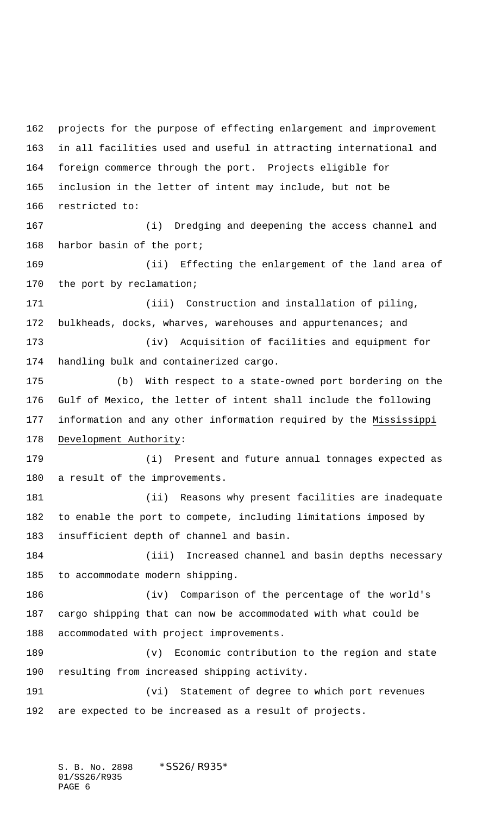projects for the purpose of effecting enlargement and improvement in all facilities used and useful in attracting international and foreign commerce through the port. Projects eligible for inclusion in the letter of intent may include, but not be restricted to: (i) Dredging and deepening the access channel and harbor basin of the port; (ii) Effecting the enlargement of the land area of the port by reclamation; (iii) Construction and installation of piling, 172 bulkheads, docks, wharves, warehouses and appurtenances; and (iv) Acquisition of facilities and equipment for handling bulk and containerized cargo. (b) With respect to a state-owned port bordering on the Gulf of Mexico, the letter of intent shall include the following information and any other information required by the Mississippi Development Authority: (i) Present and future annual tonnages expected as a result of the improvements. (ii) Reasons why present facilities are inadequate to enable the port to compete, including limitations imposed by insufficient depth of channel and basin. (iii) Increased channel and basin depths necessary to accommodate modern shipping. (iv) Comparison of the percentage of the world's cargo shipping that can now be accommodated with what could be accommodated with project improvements. (v) Economic contribution to the region and state resulting from increased shipping activity. (vi) Statement of degree to which port revenues are expected to be increased as a result of projects.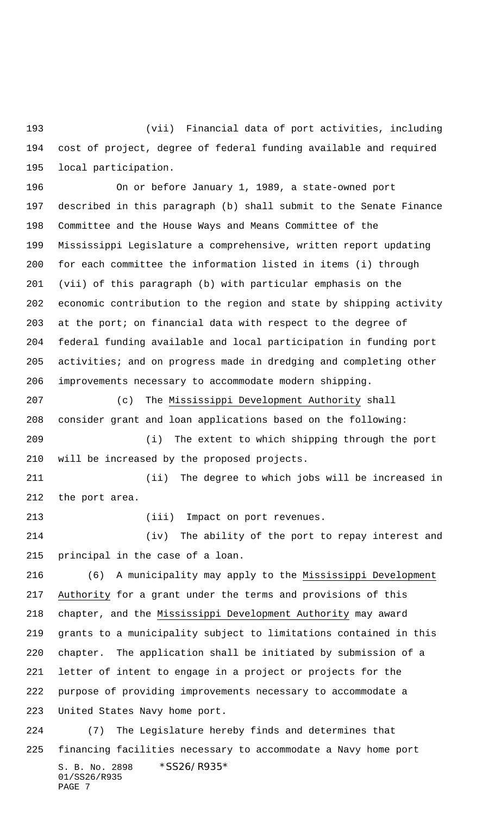(vii) Financial data of port activities, including cost of project, degree of federal funding available and required local participation.

 On or before January 1, 1989, a state-owned port described in this paragraph (b) shall submit to the Senate Finance Committee and the House Ways and Means Committee of the Mississippi Legislature a comprehensive, written report updating for each committee the information listed in items (i) through (vii) of this paragraph (b) with particular emphasis on the economic contribution to the region and state by shipping activity at the port; on financial data with respect to the degree of federal funding available and local participation in funding port 205 activities; and on progress made in dredging and completing other improvements necessary to accommodate modern shipping.

 (c) The Mississippi Development Authority shall consider grant and loan applications based on the following: (i) The extent to which shipping through the port will be increased by the proposed projects.

 (ii) The degree to which jobs will be increased in the port area.

(iii) Impact on port revenues.

 (iv) The ability of the port to repay interest and principal in the case of a loan.

 (6) A municipality may apply to the Mississippi Development Authority for a grant under the terms and provisions of this chapter, and the Mississippi Development Authority may award grants to a municipality subject to limitations contained in this chapter. The application shall be initiated by submission of a letter of intent to engage in a project or projects for the purpose of providing improvements necessary to accommodate a United States Navy home port. (7) The Legislature hereby finds and determines that

S. B. No. 2898 \* SS26/R935\* 01/SS26/R935 PAGE 7 financing facilities necessary to accommodate a Navy home port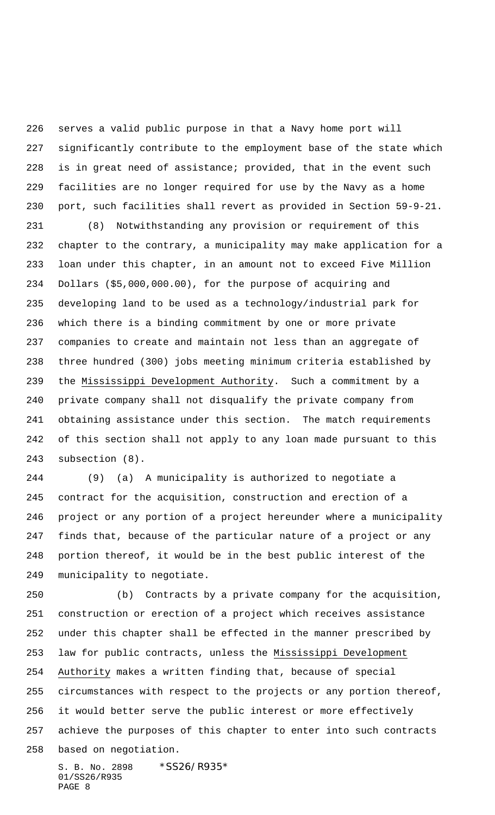serves a valid public purpose in that a Navy home port will significantly contribute to the employment base of the state which is in great need of assistance; provided, that in the event such facilities are no longer required for use by the Navy as a home port, such facilities shall revert as provided in Section 59-9-21.

 (8) Notwithstanding any provision or requirement of this chapter to the contrary, a municipality may make application for a loan under this chapter, in an amount not to exceed Five Million Dollars (\$5,000,000.00), for the purpose of acquiring and developing land to be used as a technology/industrial park for which there is a binding commitment by one or more private companies to create and maintain not less than an aggregate of three hundred (300) jobs meeting minimum criteria established by the Mississippi Development Authority. Such a commitment by a private company shall not disqualify the private company from obtaining assistance under this section. The match requirements of this section shall not apply to any loan made pursuant to this subsection (8).

 (9) (a) A municipality is authorized to negotiate a contract for the acquisition, construction and erection of a project or any portion of a project hereunder where a municipality finds that, because of the particular nature of a project or any portion thereof, it would be in the best public interest of the municipality to negotiate.

 (b) Contracts by a private company for the acquisition, construction or erection of a project which receives assistance under this chapter shall be effected in the manner prescribed by law for public contracts, unless the Mississippi Development Authority makes a written finding that, because of special circumstances with respect to the projects or any portion thereof, it would better serve the public interest or more effectively achieve the purposes of this chapter to enter into such contracts based on negotiation.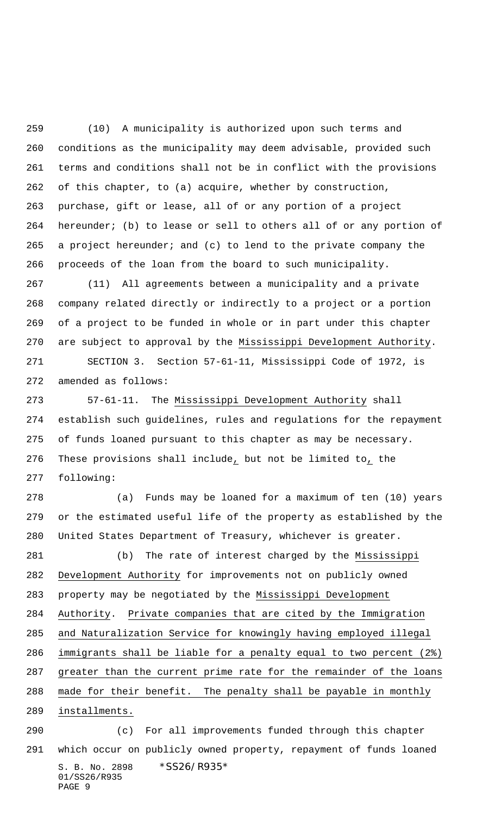(10) A municipality is authorized upon such terms and conditions as the municipality may deem advisable, provided such terms and conditions shall not be in conflict with the provisions of this chapter, to (a) acquire, whether by construction, purchase, gift or lease, all of or any portion of a project hereunder; (b) to lease or sell to others all of or any portion of a project hereunder; and (c) to lend to the private company the proceeds of the loan from the board to such municipality.

 (11) All agreements between a municipality and a private company related directly or indirectly to a project or a portion of a project to be funded in whole or in part under this chapter are subject to approval by the Mississippi Development Authority.

 SECTION 3. Section 57-61-11, Mississippi Code of 1972, is amended as follows:

 57-61-11. The Mississippi Development Authority shall establish such guidelines, rules and regulations for the repayment of funds loaned pursuant to this chapter as may be necessary. These provisions shall include, but not be limited to, the following:

 (a) Funds may be loaned for a maximum of ten (10) years or the estimated useful life of the property as established by the United States Department of Treasury, whichever is greater.

281 (b) The rate of interest charged by the Mississippi Development Authority for improvements not on publicly owned property may be negotiated by the Mississippi Development Authority. Private companies that are cited by the Immigration and Naturalization Service for knowingly having employed illegal immigrants shall be liable for a penalty equal to two percent (2%) greater than the current prime rate for the remainder of the loans made for their benefit. The penalty shall be payable in monthly installments. (c) For all improvements funded through this chapter

S. B. No. 2898 \* SS26/R935\* 01/SS26/R935 PAGE 9 which occur on publicly owned property, repayment of funds loaned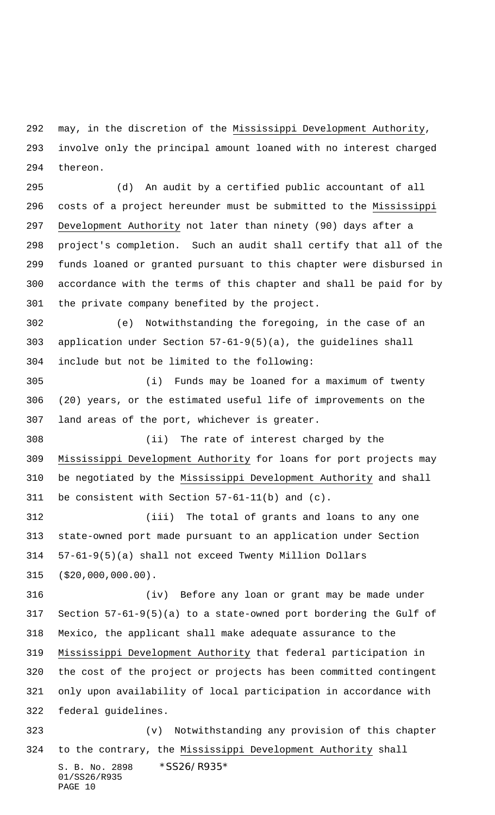may, in the discretion of the Mississippi Development Authority, involve only the principal amount loaned with no interest charged thereon.

 (d) An audit by a certified public accountant of all costs of a project hereunder must be submitted to the Mississippi Development Authority not later than ninety (90) days after a project's completion. Such an audit shall certify that all of the funds loaned or granted pursuant to this chapter were disbursed in accordance with the terms of this chapter and shall be paid for by the private company benefited by the project.

 (e) Notwithstanding the foregoing, in the case of an application under Section 57-61-9(5)(a), the guidelines shall include but not be limited to the following:

 (i) Funds may be loaned for a maximum of twenty (20) years, or the estimated useful life of improvements on the land areas of the port, whichever is greater.

 (ii) The rate of interest charged by the Mississippi Development Authority for loans for port projects may be negotiated by the Mississippi Development Authority and shall be consistent with Section 57-61-11(b) and (c).

 (iii) The total of grants and loans to any one state-owned port made pursuant to an application under Section 57-61-9(5)(a) shall not exceed Twenty Million Dollars (\$20,000,000.00).

 (iv) Before any loan or grant may be made under Section 57-61-9(5)(a) to a state-owned port bordering the Gulf of Mexico, the applicant shall make adequate assurance to the Mississippi Development Authority that federal participation in the cost of the project or projects has been committed contingent only upon availability of local participation in accordance with federal guidelines. (v) Notwithstanding any provision of this chapter

S. B. No. 2898 \* SS26/R935\* 01/SS26/R935 PAGE 10 324 to the contrary, the Mississippi Development Authority shall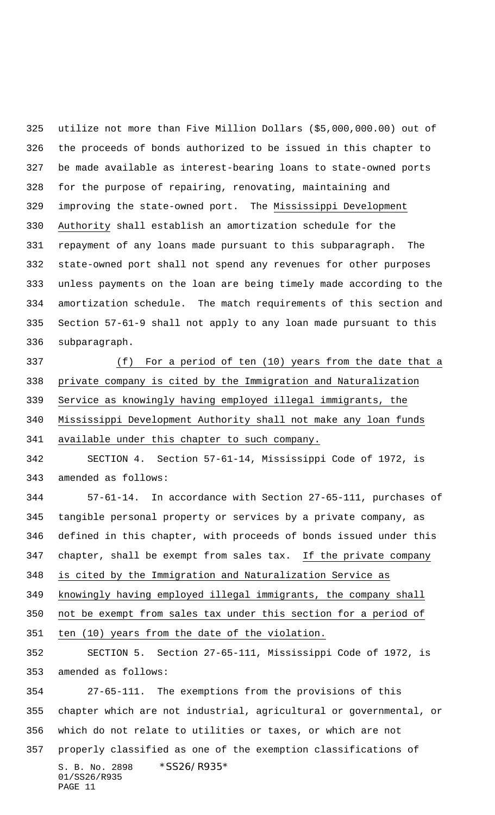utilize not more than Five Million Dollars (\$5,000,000.00) out of the proceeds of bonds authorized to be issued in this chapter to be made available as interest-bearing loans to state-owned ports for the purpose of repairing, renovating, maintaining and improving the state-owned port. The Mississippi Development Authority shall establish an amortization schedule for the repayment of any loans made pursuant to this subparagraph. The state-owned port shall not spend any revenues for other purposes unless payments on the loan are being timely made according to the amortization schedule. The match requirements of this section and Section 57-61-9 shall not apply to any loan made pursuant to this subparagraph.

 (f) For a period of ten (10) years from the date that a private company is cited by the Immigration and Naturalization Service as knowingly having employed illegal immigrants, the Mississippi Development Authority shall not make any loan funds available under this chapter to such company.

 SECTION 4. Section 57-61-14, Mississippi Code of 1972, is amended as follows:

 57-61-14. In accordance with Section 27-65-111, purchases of tangible personal property or services by a private company, as defined in this chapter, with proceeds of bonds issued under this chapter, shall be exempt from sales tax. If the private company is cited by the Immigration and Naturalization Service as knowingly having employed illegal immigrants, the company shall not be exempt from sales tax under this section for a period of ten (10) years from the date of the violation.

 SECTION 5. Section 27-65-111, Mississippi Code of 1972, is amended as follows:

S. B. No. 2898 \* SS26/R935\* 01/SS26/R935 PAGE 11 27-65-111. The exemptions from the provisions of this chapter which are not industrial, agricultural or governmental, or which do not relate to utilities or taxes, or which are not properly classified as one of the exemption classifications of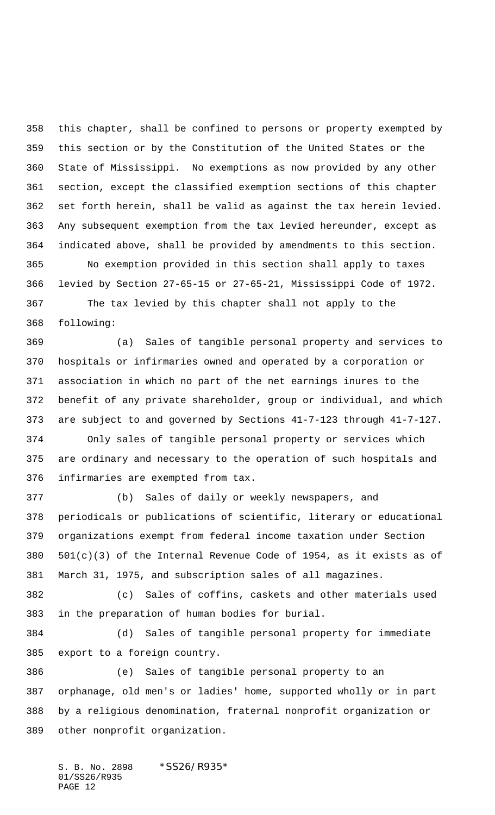this chapter, shall be confined to persons or property exempted by this section or by the Constitution of the United States or the State of Mississippi. No exemptions as now provided by any other section, except the classified exemption sections of this chapter set forth herein, shall be valid as against the tax herein levied. Any subsequent exemption from the tax levied hereunder, except as indicated above, shall be provided by amendments to this section. No exemption provided in this section shall apply to taxes levied by Section 27-65-15 or 27-65-21, Mississippi Code of 1972.

 The tax levied by this chapter shall not apply to the following:

 (a) Sales of tangible personal property and services to hospitals or infirmaries owned and operated by a corporation or association in which no part of the net earnings inures to the benefit of any private shareholder, group or individual, and which are subject to and governed by Sections 41-7-123 through 41-7-127. Only sales of tangible personal property or services which

 are ordinary and necessary to the operation of such hospitals and infirmaries are exempted from tax.

 (b) Sales of daily or weekly newspapers, and periodicals or publications of scientific, literary or educational organizations exempt from federal income taxation under Section 501(c)(3) of the Internal Revenue Code of 1954, as it exists as of March 31, 1975, and subscription sales of all magazines.

 (c) Sales of coffins, caskets and other materials used in the preparation of human bodies for burial.

 (d) Sales of tangible personal property for immediate export to a foreign country.

 (e) Sales of tangible personal property to an orphanage, old men's or ladies' home, supported wholly or in part by a religious denomination, fraternal nonprofit organization or other nonprofit organization.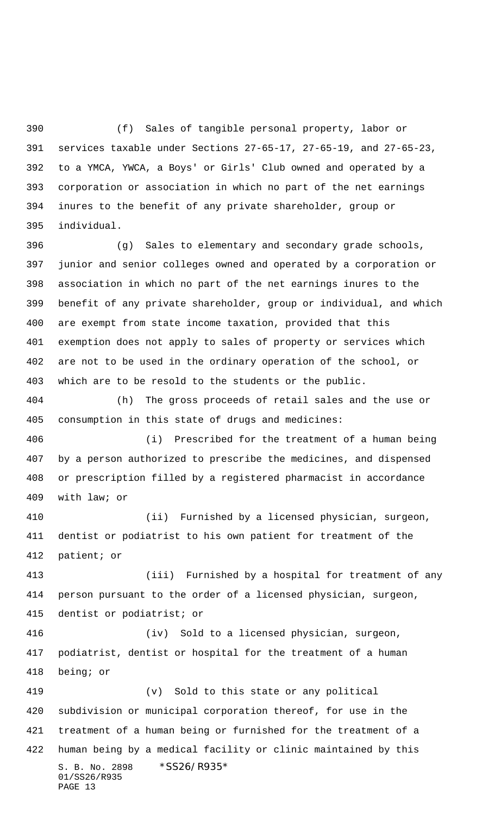(f) Sales of tangible personal property, labor or services taxable under Sections 27-65-17, 27-65-19, and 27-65-23, to a YMCA, YWCA, a Boys' or Girls' Club owned and operated by a corporation or association in which no part of the net earnings inures to the benefit of any private shareholder, group or individual.

 (g) Sales to elementary and secondary grade schools, junior and senior colleges owned and operated by a corporation or association in which no part of the net earnings inures to the benefit of any private shareholder, group or individual, and which are exempt from state income taxation, provided that this exemption does not apply to sales of property or services which are not to be used in the ordinary operation of the school, or which are to be resold to the students or the public.

 (h) The gross proceeds of retail sales and the use or consumption in this state of drugs and medicines:

 (i) Prescribed for the treatment of a human being by a person authorized to prescribe the medicines, and dispensed or prescription filled by a registered pharmacist in accordance with law; or

 (ii) Furnished by a licensed physician, surgeon, dentist or podiatrist to his own patient for treatment of the patient; or

 (iii) Furnished by a hospital for treatment of any person pursuant to the order of a licensed physician, surgeon, dentist or podiatrist; or

 (iv) Sold to a licensed physician, surgeon, podiatrist, dentist or hospital for the treatment of a human being; or

S. B. No. 2898 \* SS26/R935\* 01/SS26/R935 PAGE 13 (v) Sold to this state or any political subdivision or municipal corporation thereof, for use in the treatment of a human being or furnished for the treatment of a human being by a medical facility or clinic maintained by this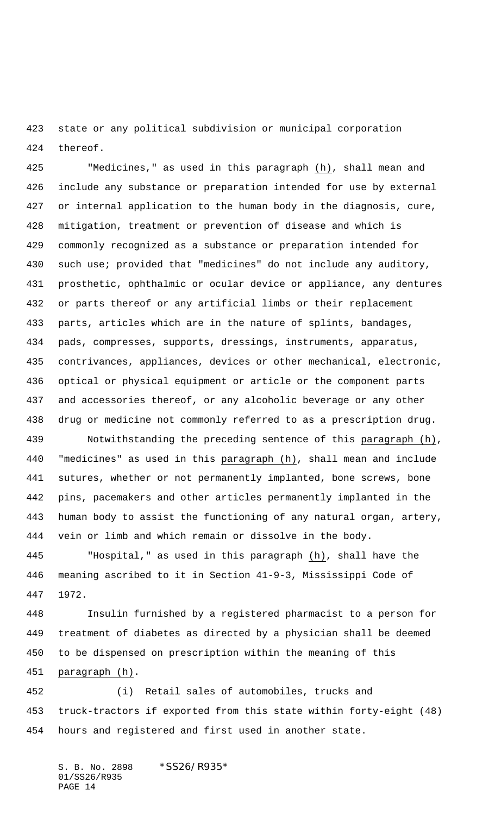state or any political subdivision or municipal corporation thereof.

 "Medicines," as used in this paragraph (h), shall mean and include any substance or preparation intended for use by external or internal application to the human body in the diagnosis, cure, mitigation, treatment or prevention of disease and which is commonly recognized as a substance or preparation intended for such use; provided that "medicines" do not include any auditory, prosthetic, ophthalmic or ocular device or appliance, any dentures or parts thereof or any artificial limbs or their replacement parts, articles which are in the nature of splints, bandages, pads, compresses, supports, dressings, instruments, apparatus, contrivances, appliances, devices or other mechanical, electronic, optical or physical equipment or article or the component parts and accessories thereof, or any alcoholic beverage or any other drug or medicine not commonly referred to as a prescription drug.

 Notwithstanding the preceding sentence of this paragraph (h), 440 "medicines" as used in this paragraph (h), shall mean and include sutures, whether or not permanently implanted, bone screws, bone pins, pacemakers and other articles permanently implanted in the human body to assist the functioning of any natural organ, artery, vein or limb and which remain or dissolve in the body.

 "Hospital," as used in this paragraph (h), shall have the meaning ascribed to it in Section 41-9-3, Mississippi Code of 1972.

 Insulin furnished by a registered pharmacist to a person for treatment of diabetes as directed by a physician shall be deemed to be dispensed on prescription within the meaning of this paragraph (h).

 (i) Retail sales of automobiles, trucks and truck-tractors if exported from this state within forty-eight (48) hours and registered and first used in another state.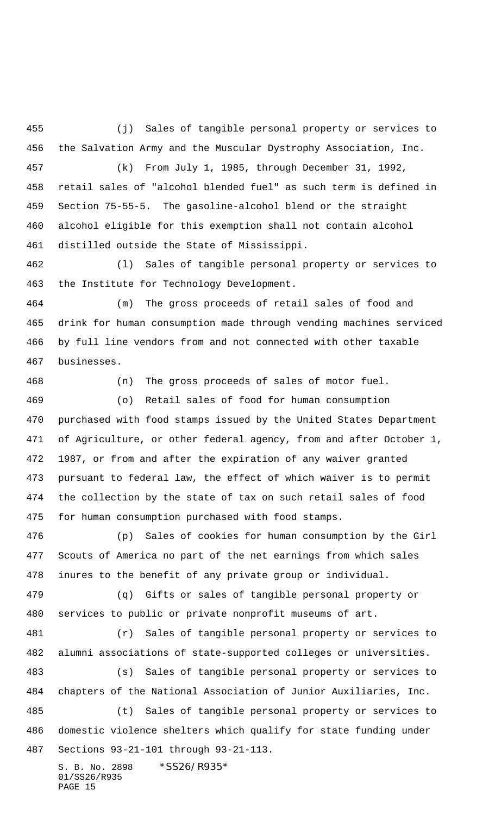(j) Sales of tangible personal property or services to the Salvation Army and the Muscular Dystrophy Association, Inc. (k) From July 1, 1985, through December 31, 1992,

 retail sales of "alcohol blended fuel" as such term is defined in Section 75-55-5. The gasoline-alcohol blend or the straight alcohol eligible for this exemption shall not contain alcohol distilled outside the State of Mississippi.

 (l) Sales of tangible personal property or services to the Institute for Technology Development.

 (m) The gross proceeds of retail sales of food and drink for human consumption made through vending machines serviced by full line vendors from and not connected with other taxable businesses.

(n) The gross proceeds of sales of motor fuel.

 (o) Retail sales of food for human consumption purchased with food stamps issued by the United States Department of Agriculture, or other federal agency, from and after October 1, 1987, or from and after the expiration of any waiver granted pursuant to federal law, the effect of which waiver is to permit the collection by the state of tax on such retail sales of food for human consumption purchased with food stamps.

 (p) Sales of cookies for human consumption by the Girl Scouts of America no part of the net earnings from which sales inures to the benefit of any private group or individual.

 (q) Gifts or sales of tangible personal property or services to public or private nonprofit museums of art.

 (r) Sales of tangible personal property or services to alumni associations of state-supported colleges or universities.

 (s) Sales of tangible personal property or services to chapters of the National Association of Junior Auxiliaries, Inc. (t) Sales of tangible personal property or services to

 domestic violence shelters which qualify for state funding under Sections 93-21-101 through 93-21-113.